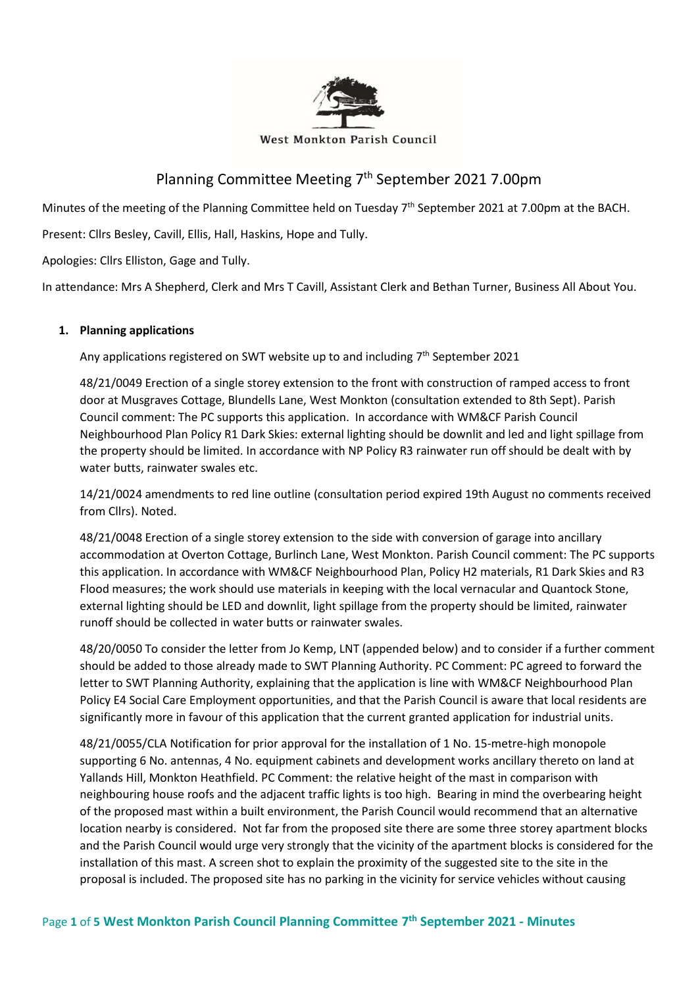

# Planning Committee Meeting 7<sup>th</sup> September 2021 7.00pm

Minutes of the meeting of the Planning Committee held on Tuesday 7<sup>th</sup> September 2021 at 7.00pm at the BACH.

Present: Cllrs Besley, Cavill, Ellis, Hall, Haskins, Hope and Tully.

Apologies: Cllrs Elliston, Gage and Tully.

In attendance: Mrs A Shepherd, Clerk and Mrs T Cavill, Assistant Clerk and Bethan Turner, Business All About You.

# **1. Planning applications**

Any applications registered on SWT website up to and including 7<sup>th</sup> September 2021

48/21/0049 Erection of a single storey extension to the front with construction of ramped access to front door at Musgraves Cottage, Blundells Lane, West Monkton (consultation extended to 8th Sept). Parish Council comment: The PC supports this application. In accordance with WM&CF Parish Council Neighbourhood Plan Policy R1 Dark Skies: external lighting should be downlit and led and light spillage from the property should be limited. In accordance with NP Policy R3 rainwater run off should be dealt with by water butts, rainwater swales etc.

14/21/0024 amendments to red line outline (consultation period expired 19th August no comments received from Cllrs). Noted.

48/21/0048 Erection of a single storey extension to the side with conversion of garage into ancillary accommodation at Overton Cottage, Burlinch Lane, West Monkton. Parish Council comment: The PC supports this application. In accordance with WM&CF Neighbourhood Plan, Policy H2 materials, R1 Dark Skies and R3 Flood measures; the work should use materials in keeping with the local vernacular and Quantock Stone, external lighting should be LED and downlit, light spillage from the property should be limited, rainwater runoff should be collected in water butts or rainwater swales.

48/20/0050 To consider the letter from Jo Kemp, LNT (appended below) and to consider if a further comment should be added to those already made to SWT Planning Authority. PC Comment: PC agreed to forward the letter to SWT Planning Authority, explaining that the application is line with WM&CF Neighbourhood Plan Policy E4 Social Care Employment opportunities, and that the Parish Council is aware that local residents are significantly more in favour of this application that the current granted application for industrial units.

48/21/0055/CLA Notification for prior approval for the installation of 1 No. 15-metre-high monopole supporting 6 No. antennas, 4 No. equipment cabinets and development works ancillary thereto on land at Yallands Hill, Monkton Heathfield. PC Comment: the relative height of the mast in comparison with neighbouring house roofs and the adjacent traffic lights is too high. Bearing in mind the overbearing height of the proposed mast within a built environment, the Parish Council would recommend that an alternative location nearby is considered. Not far from the proposed site there are some three storey apartment blocks and the Parish Council would urge very strongly that the vicinity of the apartment blocks is considered for the installation of this mast. A screen shot to explain the proximity of the suggested site to the site in the proposal is included. The proposed site has no parking in the vicinity for service vehicles without causing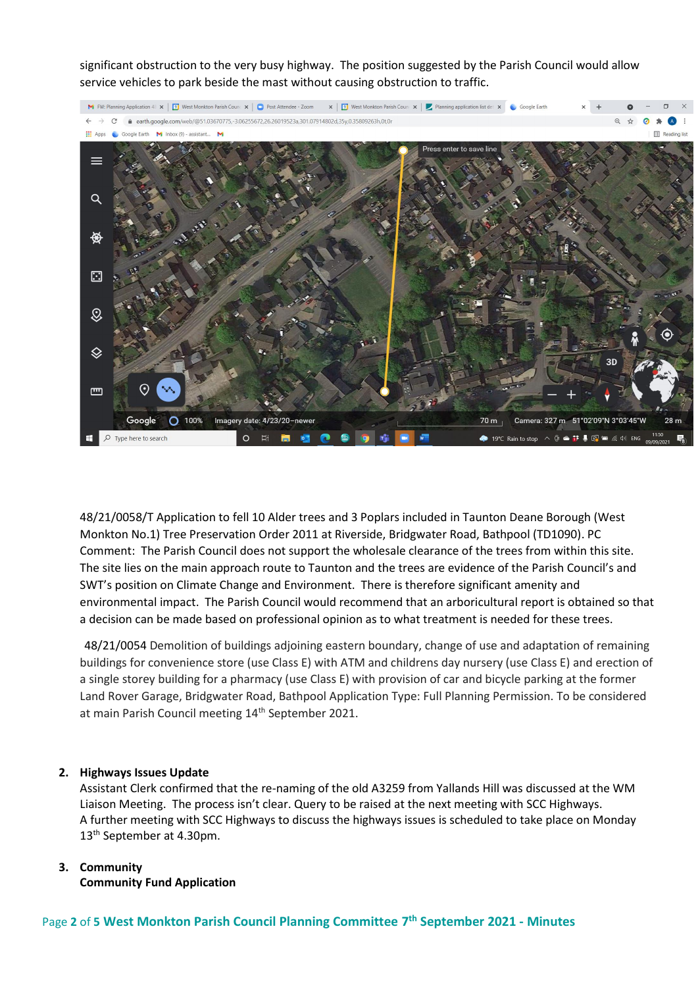significant obstruction to the very busy highway. The position suggested by the Parish Council would allow service vehicles to park beside the mast without causing obstruction to traffic.



48/21/0058/T Application to fell 10 Alder trees and 3 Poplars included in Taunton Deane Borough (West Monkton No.1) Tree Preservation Order 2011 at Riverside, Bridgwater Road, Bathpool (TD1090). PC Comment: The Parish Council does not support the wholesale clearance of the trees from within this site. The site lies on the main approach route to Taunton and the trees are evidence of the Parish Council's and SWT's position on Climate Change and Environment. There is therefore significant amenity and environmental impact. The Parish Council would recommend that an arboricultural report is obtained so that a decision can be made based on professional opinion as to what treatment is needed for these trees.

48/21/0054 Demolition of buildings adjoining eastern boundary, change of use and adaptation of remaining buildings for convenience store (use Class E) with ATM and childrens day nursery (use Class E) and erection of a single storey building for a pharmacy (use Class E) with provision of car and bicycle parking at the former Land Rover Garage, Bridgwater Road, Bathpool Application Type: Full Planning Permission. To be considered at main Parish Council meeting 14<sup>th</sup> September 2021.

## **2. Highways Issues Update**

Assistant Clerk confirmed that the re-naming of the old A3259 from Yallands Hill was discussed at the WM Liaison Meeting. The process isn't clear. Query to be raised at the next meeting with SCC Highways. A further meeting with SCC Highways to discuss the highways issues is scheduled to take place on Monday 13<sup>th</sup> September at 4.30pm.

## **3. Community**

**Community Fund Application**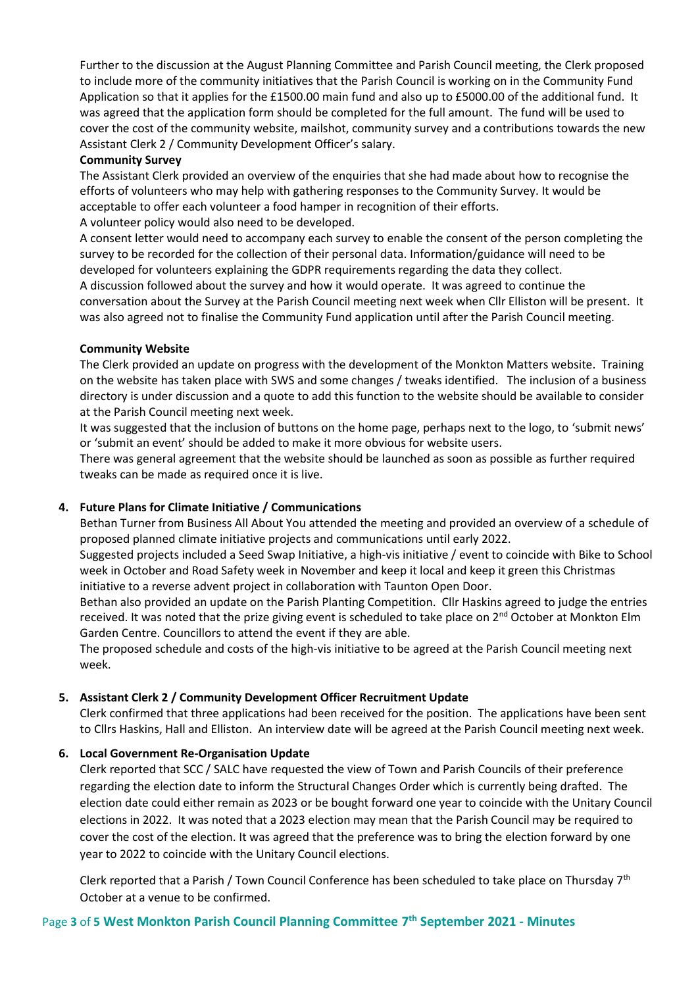Further to the discussion at the August Planning Committee and Parish Council meeting, the Clerk proposed to include more of the community initiatives that the Parish Council is working on in the Community Fund Application so that it applies for the £1500.00 main fund and also up to £5000.00 of the additional fund. It was agreed that the application form should be completed for the full amount. The fund will be used to cover the cost of the community website, mailshot, community survey and a contributions towards the new Assistant Clerk 2 / Community Development Officer's salary.

#### **Community Survey**

The Assistant Clerk provided an overview of the enquiries that she had made about how to recognise the efforts of volunteers who may help with gathering responses to the Community Survey. It would be acceptable to offer each volunteer a food hamper in recognition of their efforts. A volunteer policy would also need to be developed.

A consent letter would need to accompany each survey to enable the consent of the person completing the survey to be recorded for the collection of their personal data. Information/guidance will need to be developed for volunteers explaining the GDPR requirements regarding the data they collect.

A discussion followed about the survey and how it would operate. It was agreed to continue the conversation about the Survey at the Parish Council meeting next week when Cllr Elliston will be present. It was also agreed not to finalise the Community Fund application until after the Parish Council meeting.

#### **Community Website**

The Clerk provided an update on progress with the development of the Monkton Matters website. Training on the website has taken place with SWS and some changes / tweaks identified. The inclusion of a business directory is under discussion and a quote to add this function to the website should be available to consider at the Parish Council meeting next week.

It was suggested that the inclusion of buttons on the home page, perhaps next to the logo, to 'submit news' or 'submit an event' should be added to make it more obvious for website users.

There was general agreement that the website should be launched as soon as possible as further required tweaks can be made as required once it is live.

# **4. Future Plans for Climate Initiative / Communications**

Bethan Turner from Business All About You attended the meeting and provided an overview of a schedule of proposed planned climate initiative projects and communications until early 2022.

Suggested projects included a Seed Swap Initiative, a high-vis initiative / event to coincide with Bike to School week in October and Road Safety week in November and keep it local and keep it green this Christmas initiative to a reverse advent project in collaboration with Taunton Open Door.

Bethan also provided an update on the Parish Planting Competition. Cllr Haskins agreed to judge the entries received. It was noted that the prize giving event is scheduled to take place on 2<sup>nd</sup> October at Monkton Elm Garden Centre. Councillors to attend the event if they are able.

The proposed schedule and costs of the high-vis initiative to be agreed at the Parish Council meeting next week.

## **5. Assistant Clerk 2 / Community Development Officer Recruitment Update**

Clerk confirmed that three applications had been received for the position. The applications have been sent to Cllrs Haskins, Hall and Elliston. An interview date will be agreed at the Parish Council meeting next week.

## **6. Local Government Re-Organisation Update**

Clerk reported that SCC / SALC have requested the view of Town and Parish Councils of their preference regarding the election date to inform the Structural Changes Order which is currently being drafted. The election date could either remain as 2023 or be bought forward one year to coincide with the Unitary Council elections in 2022. It was noted that a 2023 election may mean that the Parish Council may be required to cover the cost of the election. It was agreed that the preference was to bring the election forward by one year to 2022 to coincide with the Unitary Council elections.

Clerk reported that a Parish / Town Council Conference has been scheduled to take place on Thursday 7th October at a venue to be confirmed.

# Page **3** of **5 West Monkton Parish Council Planning Committee 7 th September 2021 - Minutes**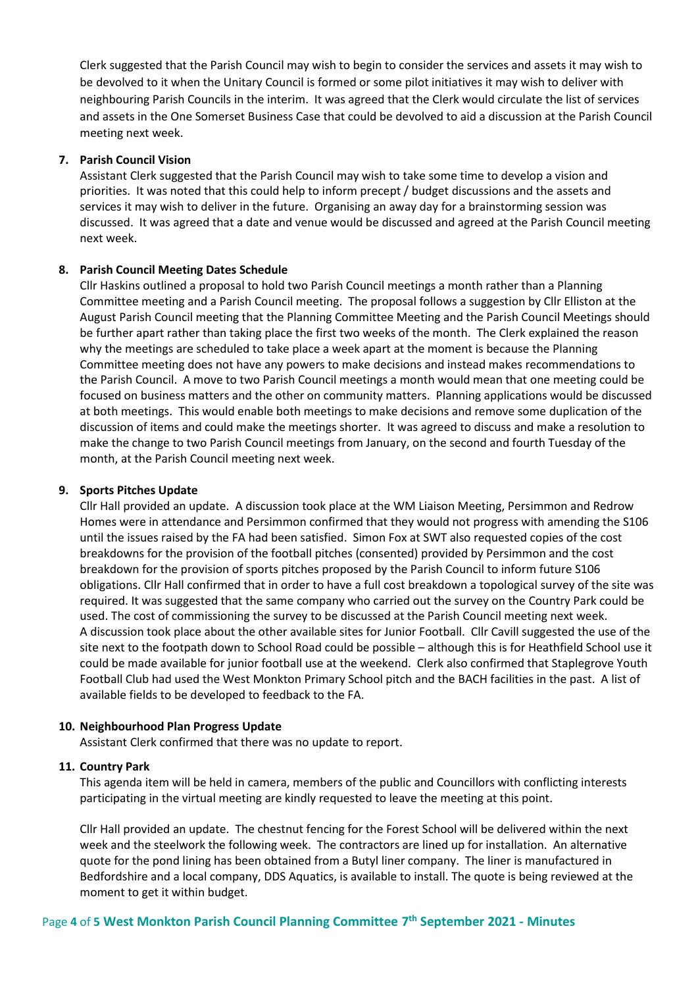Clerk suggested that the Parish Council may wish to begin to consider the services and assets it may wish to be devolved to it when the Unitary Council is formed or some pilot initiatives it may wish to deliver with neighbouring Parish Councils in the interim. It was agreed that the Clerk would circulate the list of services and assets in the One Somerset Business Case that could be devolved to aid a discussion at the Parish Council meeting next week.

#### **7. Parish Council Vision**

Assistant Clerk suggested that the Parish Council may wish to take some time to develop a vision and priorities. It was noted that this could help to inform precept / budget discussions and the assets and services it may wish to deliver in the future. Organising an away day for a brainstorming session was discussed. It was agreed that a date and venue would be discussed and agreed at the Parish Council meeting next week.

#### **8. Parish Council Meeting Dates Schedule**

Cllr Haskins outlined a proposal to hold two Parish Council meetings a month rather than a Planning Committee meeting and a Parish Council meeting. The proposal follows a suggestion by Cllr Elliston at the August Parish Council meeting that the Planning Committee Meeting and the Parish Council Meetings should be further apart rather than taking place the first two weeks of the month. The Clerk explained the reason why the meetings are scheduled to take place a week apart at the moment is because the Planning Committee meeting does not have any powers to make decisions and instead makes recommendations to the Parish Council. A move to two Parish Council meetings a month would mean that one meeting could be focused on business matters and the other on community matters. Planning applications would be discussed at both meetings. This would enable both meetings to make decisions and remove some duplication of the discussion of items and could make the meetings shorter. It was agreed to discuss and make a resolution to make the change to two Parish Council meetings from January, on the second and fourth Tuesday of the month, at the Parish Council meeting next week.

#### **9. Sports Pitches Update**

Cllr Hall provided an update. A discussion took place at the WM Liaison Meeting, Persimmon and Redrow Homes were in attendance and Persimmon confirmed that they would not progress with amending the S106 until the issues raised by the FA had been satisfied. Simon Fox at SWT also requested copies of the cost breakdowns for the provision of the football pitches (consented) provided by Persimmon and the cost breakdown for the provision of sports pitches proposed by the Parish Council to inform future S106 obligations. Cllr Hall confirmed that in order to have a full cost breakdown a topological survey of the site was required. It was suggested that the same company who carried out the survey on the Country Park could be used. The cost of commissioning the survey to be discussed at the Parish Council meeting next week. A discussion took place about the other available sites for Junior Football. Cllr Cavill suggested the use of the site next to the footpath down to School Road could be possible – although this is for Heathfield School use it could be made available for junior football use at the weekend. Clerk also confirmed that Staplegrove Youth Football Club had used the West Monkton Primary School pitch and the BACH facilities in the past. A list of available fields to be developed to feedback to the FA.

## **10. Neighbourhood Plan Progress Update**

Assistant Clerk confirmed that there was no update to report.

#### **11. Country Park**

This agenda item will be held in camera, members of the public and Councillors with conflicting interests participating in the virtual meeting are kindly requested to leave the meeting at this point.

Cllr Hall provided an update. The chestnut fencing for the Forest School will be delivered within the next week and the steelwork the following week. The contractors are lined up for installation. An alternative quote for the pond lining has been obtained from a Butyl liner company. The liner is manufactured in Bedfordshire and a local company, DDS Aquatics, is available to install. The quote is being reviewed at the moment to get it within budget.